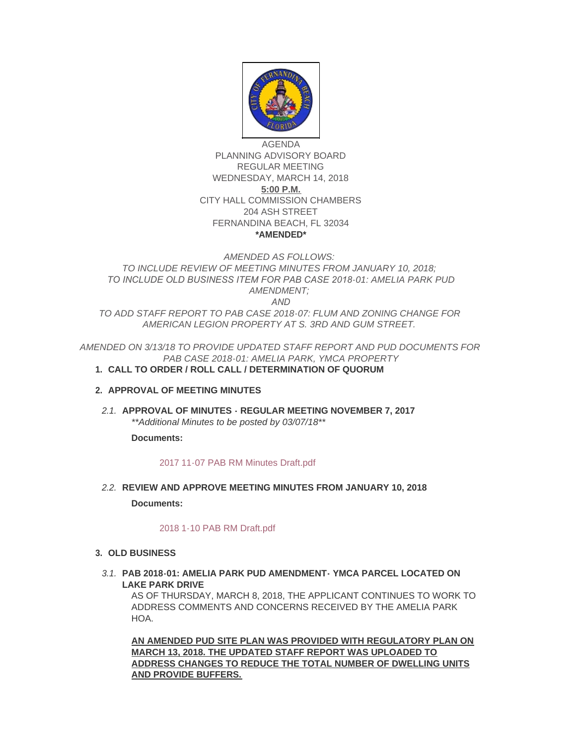

AGENDA PLANNING ADVISORY BOARD REGULAR MEETING WEDNESDAY, MARCH 14, 2018 **5:00 P.M.** CITY HALL COMMISSION CHAMBERS 204 ASH STREET FERNANDINA BEACH, FL 32034 **\*AMENDED\***

# *AMENDED AS FOLLOWS: TO INCLUDE REVIEW OF MEETING MINUTES FROM JANUARY 10, 2018; TO INCLUDE OLD BUSINESS ITEM FOR PAB CASE 2018-01: AMELIA PARK PUD AMENDMENT; AND*

*TO ADD STAFF REPORT TO PAB CASE 2018-07: FLUM AND ZONING CHANGE FOR AMERICAN LEGION PROPERTY AT S. 3RD AND GUM STREET.*

*AMENDED ON 3/13/18 TO PROVIDE UPDATED STAFF REPORT AND PUD DOCUMENTS FOR PAB CASE 2018-01: AMELIA PARK, YMCA PROPERTY*

## **CALL TO ORDER / ROLL CALL / DETERMINATION OF QUORUM 1.**

## **APPROVAL OF MEETING MINUTES 2.**

**APPROVAL OF MINUTES - REGULAR MEETING NOVEMBER 7, 2017** *2.1. \*\*Additional Minutes to be posted by 03/07/18\*\**

**Documents:**

## [2017 11-07 PAB RM Minutes Draft.pdf](http://fl-fernandinabeach3.civicplus.com/AgendaCenter/ViewFile/Item/8392?fileID=5574)

**REVIEW AND APPROVE MEETING MINUTES FROM JANUARY 10, 2018** *2.2.*

**Documents:**

## [2018 1-10 PAB RM Draft.pdf](http://fl-fernandinabeach3.civicplus.com/AgendaCenter/ViewFile/Item/8761?fileID=5580)

- **OLD BUSINESS 3.**
	- **PAB 2018-01: AMELIA PARK PUD AMENDMENT- YMCA PARCEL LOCATED ON**  *3.1.* **LAKE PARK DRIVE**

AS OF THURSDAY, MARCH 8, 2018, THE APPLICANT CONTINUES TO WORK TO ADDRESS COMMENTS AND CONCERNS RECEIVED BY THE AMELIA PARK **HOA** 

**AN AMENDED PUD SITE PLAN WAS PROVIDED WITH REGULATORY PLAN ON MARCH 13, 2018. THE UPDATED STAFF REPORT WAS UPLOADED TO ADDRESS CHANGES TO REDUCE THE TOTAL NUMBER OF DWELLING UNITS AND PROVIDE BUFFERS.**